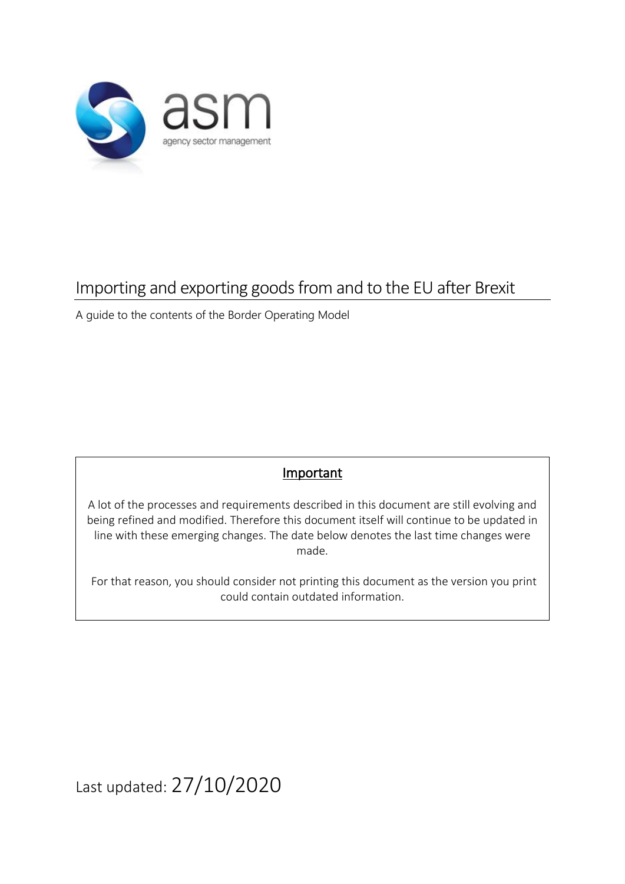

# Importing and exporting goods from and to the EU after Brexit

A guide to the contents of the Border Operating Model

### **Important**

A lot of the processes and requirements described in this document are still evolving and being refined and modified. Therefore this document itself will continue to be updated in line with these emerging changes. The date below denotes the last time changes were made.

For that reason, you should consider not printing this document as the version you print could contain outdated information.

Last updated: 27/10/2020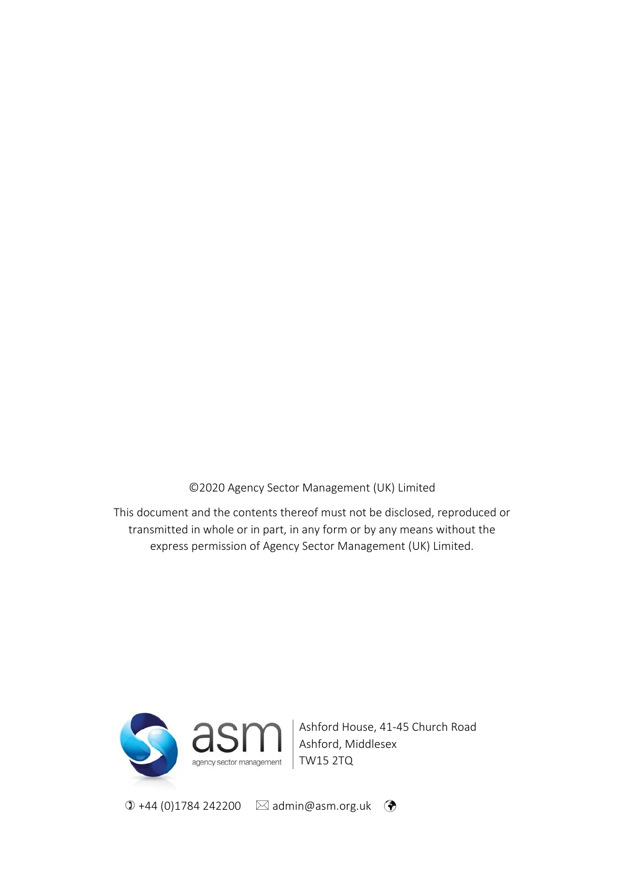©2020 Agency Sector Management (UK) Limited

This document and the contents thereof must not be disclosed, reproduced or transmitted in whole or in part, in any form or by any means without the express permission of Agency Sector Management (UK) Limited.



Ashford House, 41-45 Church Road Ashford, Middlesex

 $\textcircled{1}$  +44 (0)1784 242200  $\textcircled{2}$  admin@asm.org.uk  $\textcircled{3}$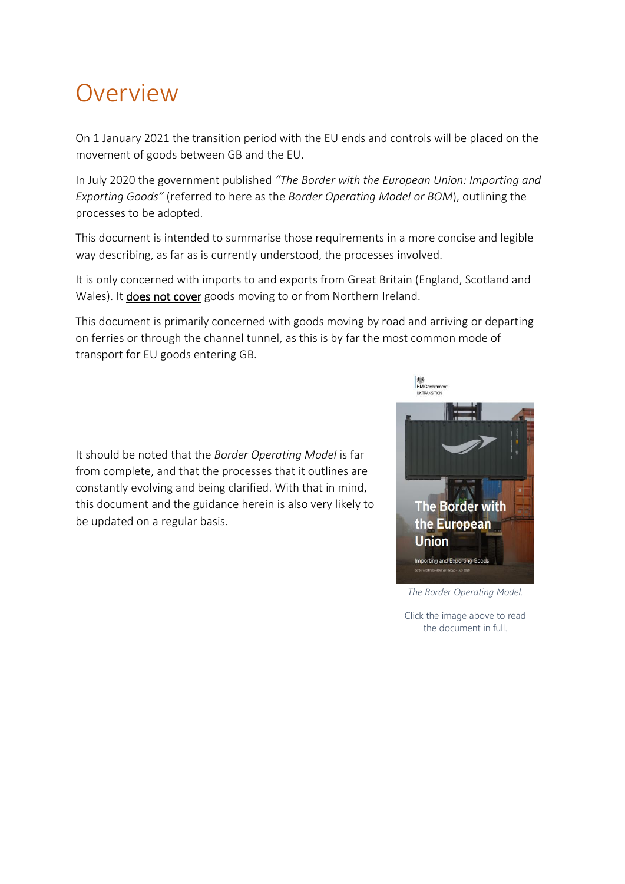# Overview

On 1 January 2021 the transition period with the EU ends and controls will be placed on the movement of goods between GB and the EU.

In July 2020 the government published *"The Border with the European Union: Importing and Exporting Goods"* (referred to here as the *Border Operating Model or BOM*), outlining the processes to be adopted.

This document is intended to summarise those requirements in a more concise and legible way describing, as far as is currently understood, the processes involved.

It is only concerned with imports to and exports from Great Britain (England, Scotland and Wales). It does not cover goods moving to or from Northern Ireland.

This document is primarily concerned with goods moving by road and arriving or departing on ferries or through the channel tunnel, as this is by far the most common mode of transport for EU goods entering GB.

It should be noted that the *Border Operating Model* is far from complete, and that the processes that it outlines are constantly evolving and being clarified. With that in mind, this document and the guidance herein is also very likely to be updated on a regular basis.



*The Border Operating Model.*

Click the image above to read the document in full.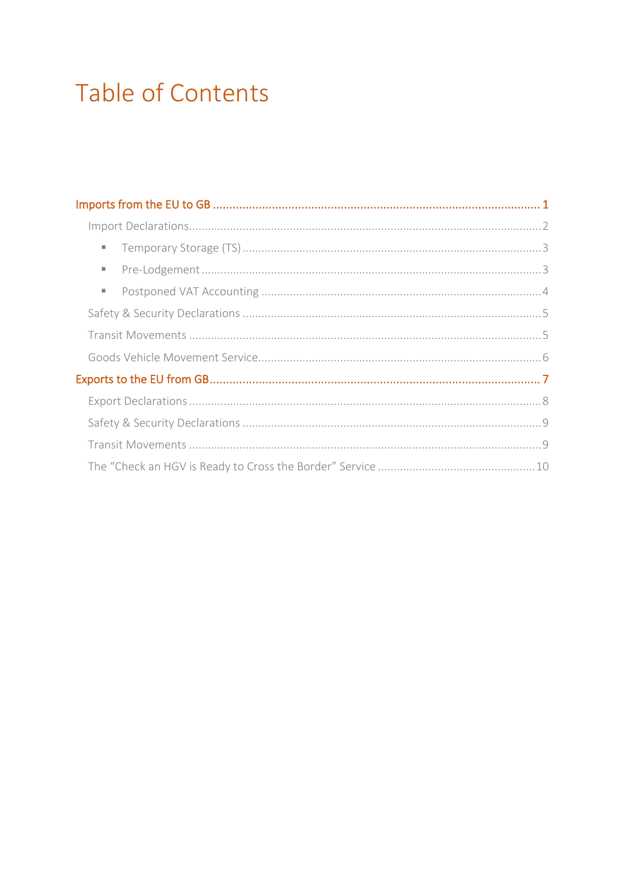# **Table of Contents**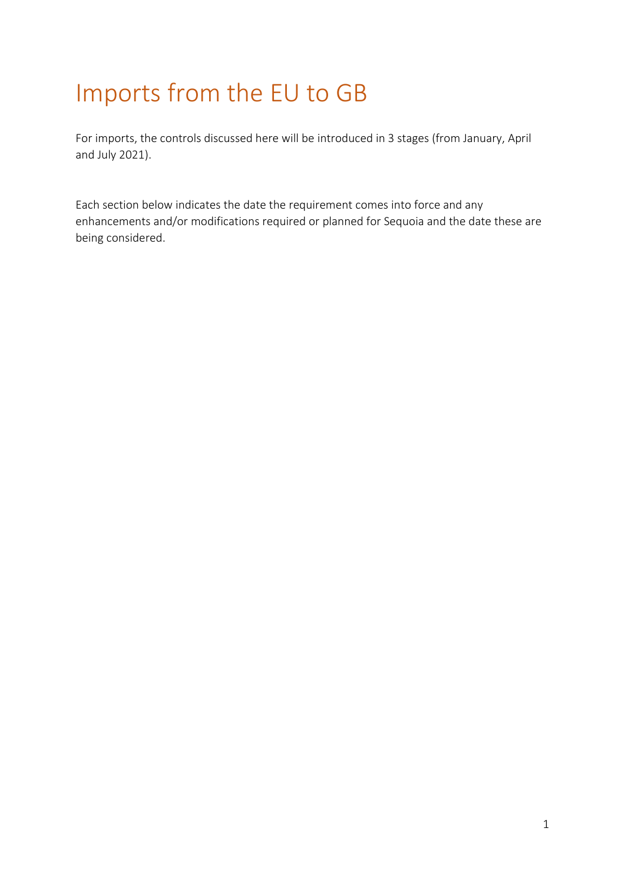# <span id="page-4-0"></span>Imports from the EU to GB

For imports, the controls discussed here will be introduced in 3 stages (from January, April and July 2021).

Each section below indicates the date the requirement comes into force and any enhancements and/or modifications required or planned for Sequoia and the date these are being considered.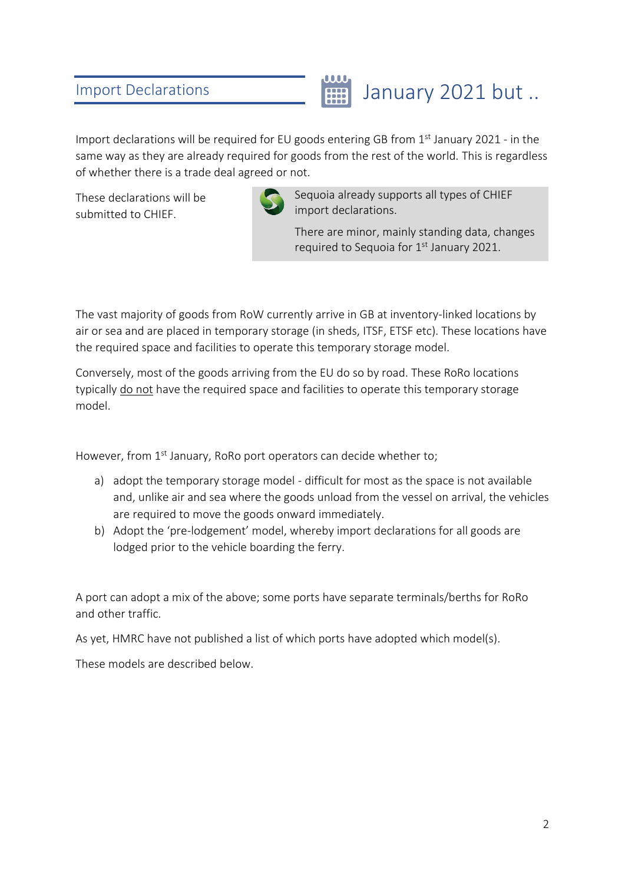### <span id="page-5-0"></span>Import Declarations



Import declarations will be required for EU goods entering GB from  $1<sup>st</sup>$  January 2021 - in the same way as they are already required for goods from the rest of the world. This is regardless of whether there is a trade deal agreed or not.

These declarations will be submitted to CHIEF.



Sequoia already supports all types of CHIEF import declarations.

There are minor, mainly standing data, changes required to Sequoia for  $1<sup>st</sup>$  January 2021.

The vast majority of goods from RoW currently arrive in GB at inventory-linked locations by air or sea and are placed in temporary storage (in sheds, ITSF, ETSF etc). These locations have the required space and facilities to operate this temporary storage model.

Conversely, most of the goods arriving from the EU do so by road. These RoRo locations typically do not have the required space and facilities to operate this temporary storage model.

However, from 1<sup>st</sup> January, RoRo port operators can decide whether to;

- a) adopt the temporary storage model difficult for most as the space is not available and, unlike air and sea where the goods unload from the vessel on arrival, the vehicles are required to move the goods onward immediately.
- b) Adopt the 'pre-lodgement' model, whereby import declarations for all goods are lodged prior to the vehicle boarding the ferry.

A port can adopt a mix of the above; some ports have separate terminals/berths for RoRo and other traffic.

As yet, HMRC have not published a list of which ports have adopted which model(s).

These models are described below.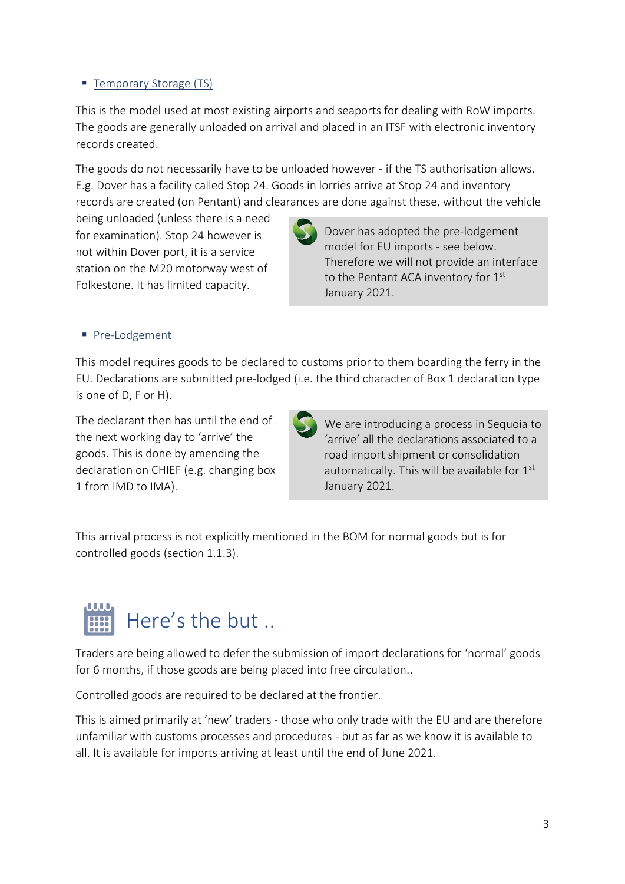#### <span id="page-6-0"></span>■ Temporary Storage (TS)

This is the model used at most existing airports and seaports for dealing with RoW imports. The goods are generally unloaded on arrival and placed in an ITSF with electronic inventory records created.

The goods do not necessarily have to be unloaded however - if the TS authorisation allows. E.g. Dover has a facility called Stop 24. Goods in lorries arrive at Stop 24 and inventory records are created (on Pentant) and clearances are done against these, without the vehicle

being unloaded (unless there is a need for examination). Stop 24 however is not within Dover port, it is a service

Dover has adopted the pre-lodgement model for EU imports - see below. Therefore we will not provide an interface to the Pentant ACA inventory for 1<sup>st</sup> January 2021.

#### <span id="page-6-1"></span>■ Pre-Lodgement

This model requires goods to be declared to customs prior to them boarding the ferry in the EU. Declarations are submitted pre-lodged (i.e. the third character of Box 1 declaration type is one of D, F or H).

The declarant then has until the end of the next working day to 'arrive' the goods. This is done by amending the declaration on CHIEF (e.g. changing box 1 from IMD to IMA).

station on the M20 motorway west of Folkestone. It has limited capacity.

We are introducing a process in Sequoia to 'arrive' all the declarations associated to a road import shipment or consolidation automatically. This will be available for  $1<sup>st</sup>$ January 2021.

This arrival process is not explicitly mentioned in the BOM for normal goods but is for controlled goods (section 1.1.3).



Traders are being allowed to defer the submission of import declarations for 'normal' goods for 6 months, if those goods are being placed into free circulation..

Controlled goods are required to be declared at the frontier.

This is aimed primarily at 'new' traders - those who only trade with the EU and are therefore unfamiliar with customs processes and procedures - but as far as we know it is available to all. It is available for imports arriving at least until the end of June 2021.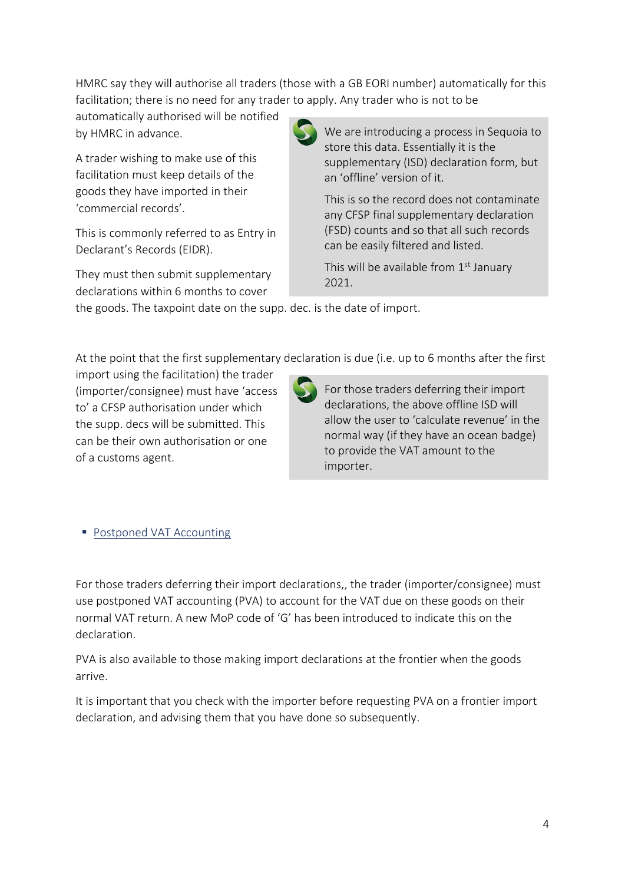HMRC say they will authorise all traders (those with a GB EORI number) automatically for this facilitation; there is no need for any trader to apply. Any trader who is not to be

automatically authorised will be notified by HMRC in advance.

A trader wishing to make use of this facilitation must keep details of the goods they have imported in their 'commercial records'.

This is commonly referred to as Entry in Declarant's Records (EIDR).

They must then submit supplementary declarations within 6 months to cover

import using the facilitation) the trader (importer/consignee) must have 'access to' a CFSP authorisation under which the supp. decs will be submitted. This can be their own authorisation or one



We are introducing a process in Sequoia to store this data. Essentially it is the supplementary (ISD) declaration form, but an 'offline' version of it.

This is so the record does not contaminate any CFSP final supplementary declaration (FSD) counts and so that all such records can be easily filtered and listed.

This will be available from  $1<sup>st</sup>$  January 2021.

the goods. The taxpoint date on the supp. dec. is the date of import.

At the point that the first supplementary declaration is due (i.e. up to 6 months after the first



For those traders deferring their import declarations, the above offline ISD will allow the user to 'calculate revenue' in the normal way (if they have an ocean badge) to provide the VAT amount to the importer.

<span id="page-7-0"></span>■ Postponed VAT Accounting

of a customs agent.

For those traders deferring their import declarations,, the trader (importer/consignee) must use postponed VAT accounting (PVA) to account for the VAT due on these goods on their normal VAT return. A new MoP code of 'G' has been introduced to indicate this on the declaration.

PVA is also available to those making import declarations at the frontier when the goods arrive.

It is important that you check with the importer before requesting PVA on a frontier import declaration, and advising them that you have done so subsequently.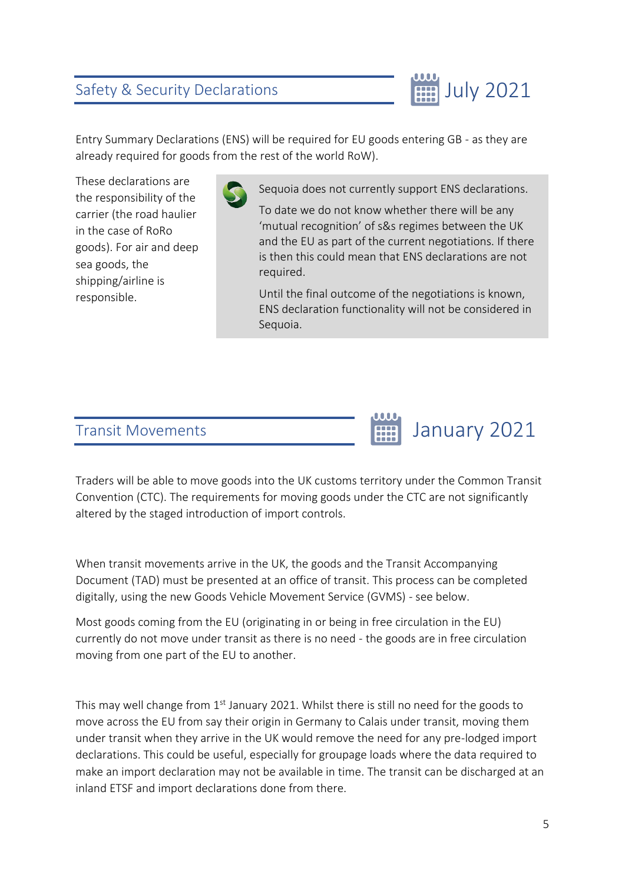### <span id="page-8-0"></span>Safety & Security Declarations



Entry Summary Declarations (ENS) will be required for EU goods entering GB - as they are already required for goods from the rest of the world RoW).

These declarations are the responsibility of the carrier (the road haulier in the case of RoRo goods). For air and deep sea goods, the shipping/airline is responsible.

Sequoia does not currently support ENS declarations.

To date we do not know whether there will be any 'mutual recognition' of s&s regimes between the UK and the EU as part of the current negotiations. If there is then this could mean that ENS declarations are not required.

Until the final outcome of the negotiations is known, ENS declaration functionality will not be considered in Sequoia.

#### <span id="page-8-1"></span>Transit Movements



Traders will be able to move goods into the UK customs territory under the Common Transit Convention (CTC). The requirements for moving goods under the CTC are not significantly altered by the staged introduction of import controls.

When transit movements arrive in the UK, the goods and the Transit Accompanying Document (TAD) must be presented at an office of transit. This process can be completed digitally, using the new Goods Vehicle Movement Service (GVMS) - see below.

Most goods coming from the EU (originating in or being in free circulation in the EU) currently do not move under transit as there is no need - the goods are in free circulation moving from one part of the EU to another.

This may well change from  $1<sup>st</sup>$  January 2021. Whilst there is still no need for the goods to move across the EU from say their origin in Germany to Calais under transit, moving them under transit when they arrive in the UK would remove the need for any pre-lodged import declarations. This could be useful, especially for groupage loads where the data required to make an import declaration may not be available in time. The transit can be discharged at an inland ETSF and import declarations done from there.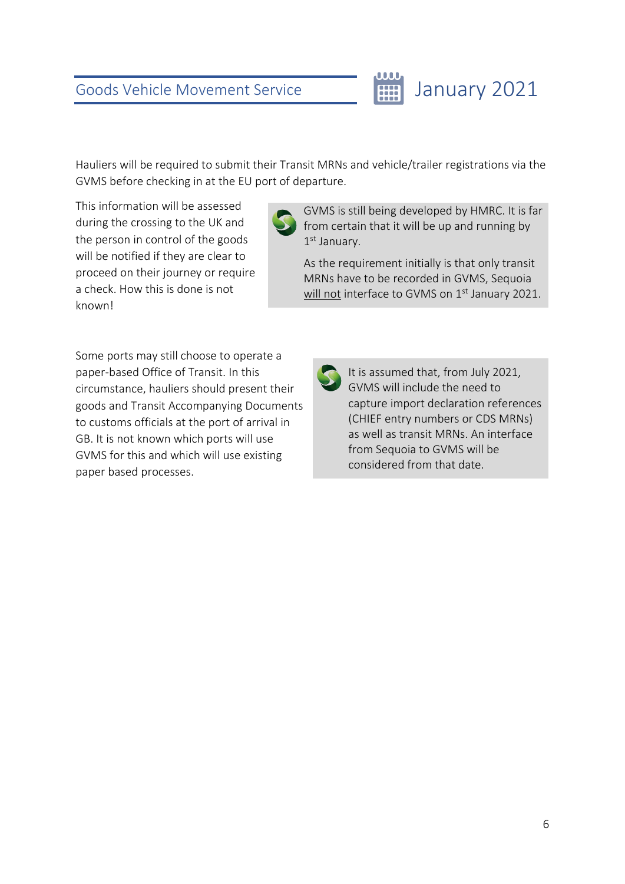<span id="page-9-0"></span>Hauliers will be required to submit their Transit MRNs and vehicle/trailer registrations via the GVMS before checking in at the EU port of departure.

This information will be assessed during the crossing to the UK and the person in control of the goods will be notified if they are clear to proceed on their journey or require a check. How this is done is not known!

GVMS is still being developed by HMRC. It is far from certain that it will be up and running by 1st January.

January 2021

As the requirement initially is that only transit MRNs have to be recorded in GVMS, Sequoia will not interface to GVMS on  $1<sup>st</sup>$  January 2021.

Some ports may still choose to operate a paper-based Office of Transit. In this circumstance, hauliers should present their goods and Transit Accompanying Documents to customs officials at the port of arrival in GB. It is not known which ports will use GVMS for this and which will use existing paper based processes.

It is assumed that, from July 2021, GVMS will include the need to capture import declaration references (CHIEF entry numbers or CDS MRNs) as well as transit MRNs. An interface from Sequoia to GVMS will be considered from that date.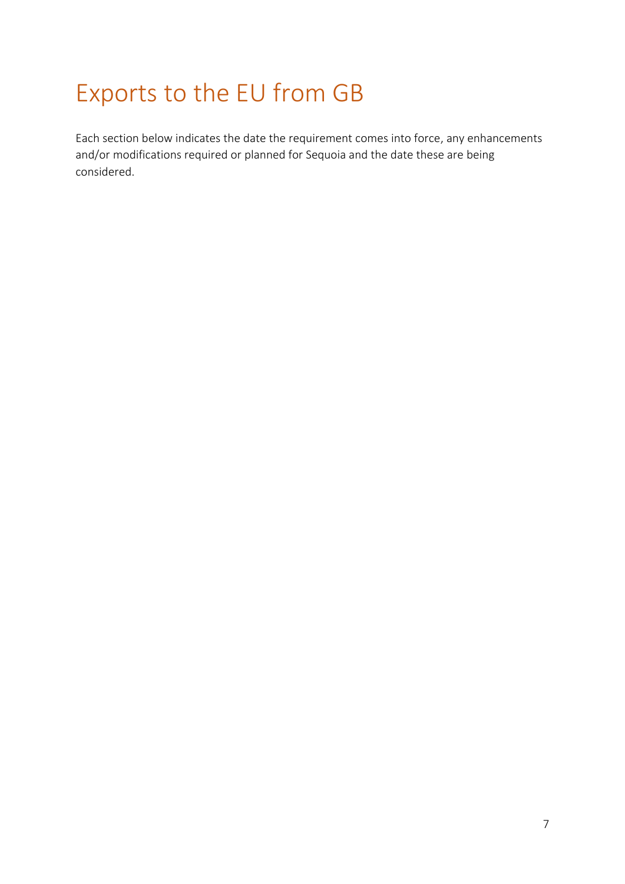# <span id="page-10-0"></span>Exports to the EU from GB

Each section below indicates the date the requirement comes into force, any enhancements and/or modifications required or planned for Sequoia and the date these are being considered.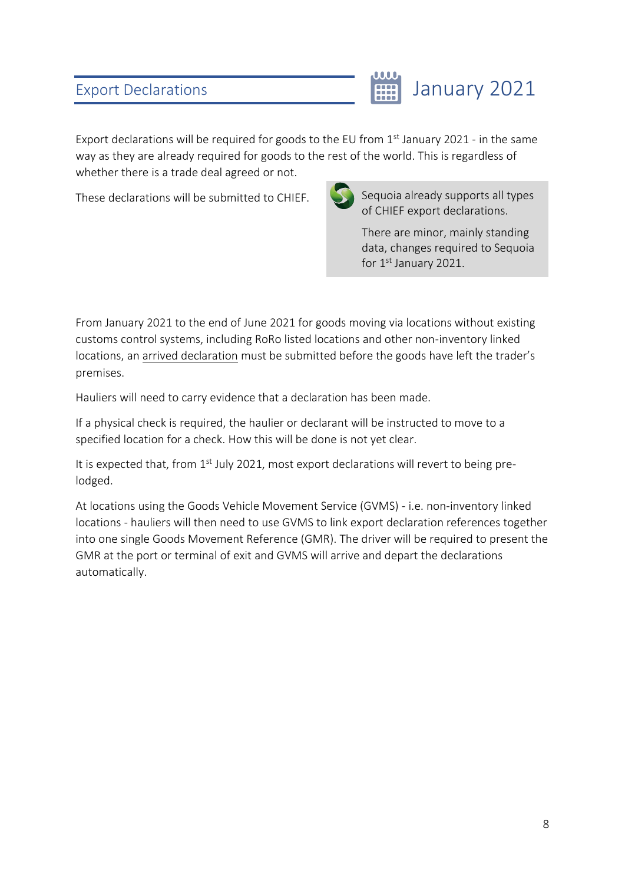## <span id="page-11-0"></span>Export Declarations



Export declarations will be required for goods to the EU from  $1<sup>st</sup>$  January 2021 - in the same way as they are already required for goods to the rest of the world. This is regardless of whether there is a trade deal agreed or not.

These declarations will be submitted to CHIEF.



Sequoia already supports all types of CHIEF export declarations.

There are minor, mainly standing data, changes required to Sequoia for 1<sup>st</sup> January 2021.

From January 2021 to the end of June 2021 for goods moving via locations without existing customs control systems, including RoRo listed locations and other non-inventory linked locations, an arrived declaration must be submitted before the goods have left the trader's premises.

Hauliers will need to carry evidence that a declaration has been made.

If a physical check is required, the haulier or declarant will be instructed to move to a specified location for a check. How this will be done is not yet clear.

It is expected that, from  $1<sup>st</sup>$  July 2021, most export declarations will revert to being prelodged.

At locations using the Goods Vehicle Movement Service (GVMS) - i.e. non-inventory linked locations - hauliers will then need to use GVMS to link export declaration references together into one single Goods Movement Reference (GMR). The driver will be required to present the GMR at the port or terminal of exit and GVMS will arrive and depart the declarations automatically.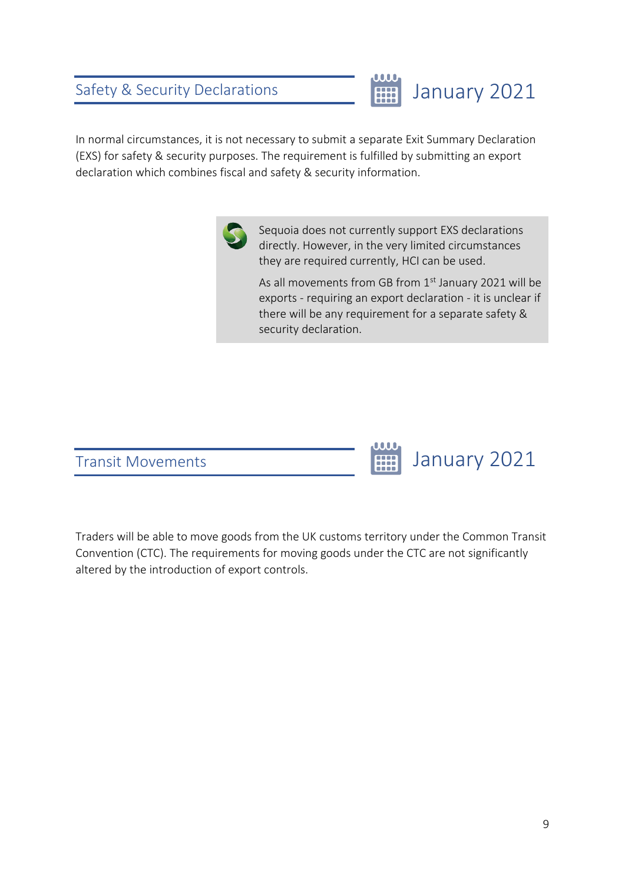### <span id="page-12-0"></span>Safety & Security Declarations



January 2021

In normal circumstances, it is not necessary to submit a separate Exit Summary Declaration (EXS) for safety & security purposes. The requirement is fulfilled by submitting an export declaration which combines fiscal and safety & security information.



Sequoia does not currently support EXS declarations directly. However, in the very limited circumstances they are required currently, HCI can be used.

As all movements from GB from 1<sup>st</sup> January 2021 will be exports - requiring an export declaration - it is unclear if there will be any requirement for a separate safety & security declaration.

**HH** 

<span id="page-12-1"></span>

Traders will be able to move goods from the UK customs territory under the Common Transit Convention (CTC). The requirements for moving goods under the CTC are not significantly altered by the introduction of export controls.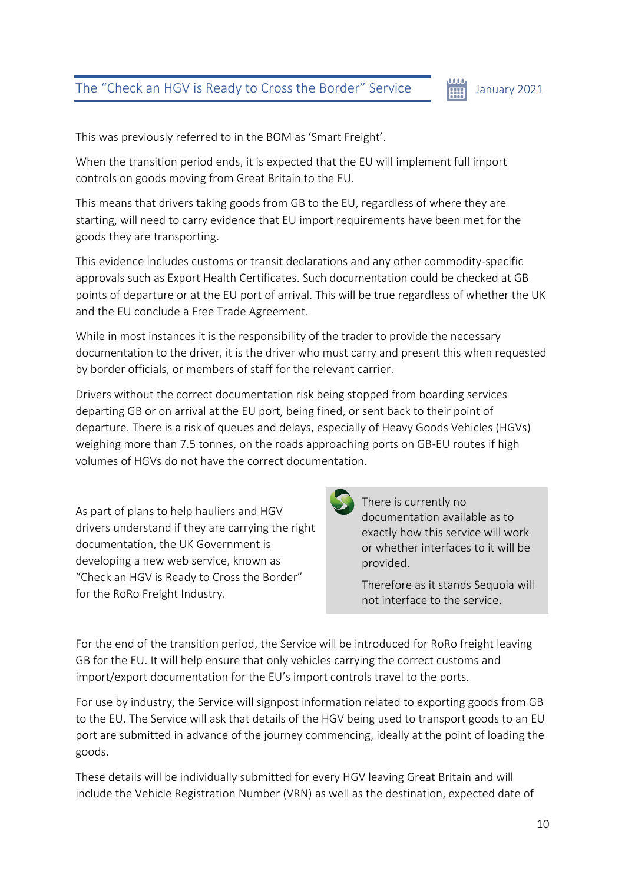#### <span id="page-13-0"></span>The "Check an HGV is Ready to Cross the Border" Service

#### 曲 January 2021

This was previously referred to in the BOM as 'Smart Freight'.

When the transition period ends, it is expected that the EU will implement full import controls on goods moving from Great Britain to the EU.

This means that drivers taking goods from GB to the EU, regardless of where they are starting, will need to carry evidence that EU import requirements have been met for the goods they are transporting.

This evidence includes customs or transit declarations and any other commodity-specific approvals such as Export Health Certificates. Such documentation could be checked at GB points of departure or at the EU port of arrival. This will be true regardless of whether the UK and the EU conclude a Free Trade Agreement.

While in most instances it is the responsibility of the trader to provide the necessary documentation to the driver, it is the driver who must carry and present this when requested by border officials, or members of staff for the relevant carrier.

Drivers without the correct documentation risk being stopped from boarding services departing GB or on arrival at the EU port, being fined, or sent back to their point of departure. There is a risk of queues and delays, especially of Heavy Goods Vehicles (HGVs) weighing more than 7.5 tonnes, on the roads approaching ports on GB-EU routes if high volumes of HGVs do not have the correct documentation.

As part of plans to help hauliers and HGV drivers understand if they are carrying the right documentation, the UK Government is developing a new web service, known as "Check an HGV is Ready to Cross the Border" for the RoRo Freight Industry.

There is currently no documentation available as to exactly how this service will work or whether interfaces to it will be provided.

Therefore as it stands Sequoia will not interface to the service.

For the end of the transition period, the Service will be introduced for RoRo freight leaving GB for the EU. It will help ensure that only vehicles carrying the correct customs and import/export documentation for the EU's import controls travel to the ports.

For use by industry, the Service will signpost information related to exporting goods from GB to the EU. The Service will ask that details of the HGV being used to transport goods to an EU port are submitted in advance of the journey commencing, ideally at the point of loading the goods.

These details will be individually submitted for every HGV leaving Great Britain and will include the Vehicle Registration Number (VRN) as well as the destination, expected date of